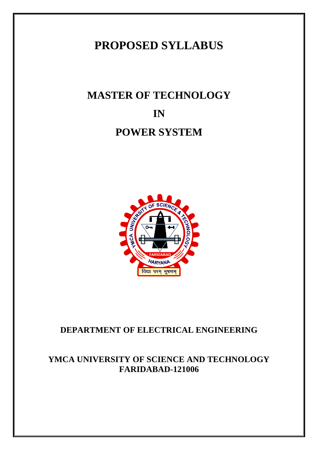# **PROPOSED SYLLABUS**

# **MASTER OF TECHNOLOGY IN POWER SYSTEM**



# **DEPARTMENT OF ELECTRICAL ENGINEERING**

# **YMCA UNIVERSITY OF SCIENCE AND TECHNOLOGY FARIDABAD-121006**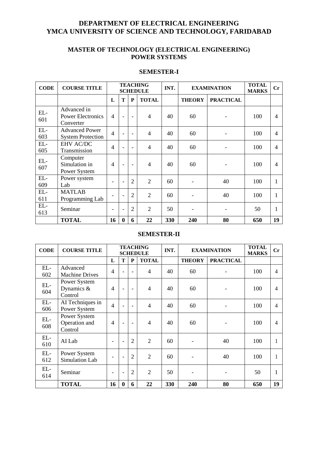# **DEPARTMENT OF ELECTRICAL ENGINEERING YMCA UNIVERSITY OF SCIENCE AND TECHNOLOGY, FARIDABAD**

# **MASTER OF TECHNOLOGY (ELECTRICAL ENGINEERING) POWER SYSTEMS**

# **SEMESTER-I**

| <b>CODE</b>  | <b>COURSE TITLE</b>                                  | <b>TEACHING</b><br><b>SCHEDULE</b> |                          |                          |                | INT. | <b>EXAMINATION</b> |                  | <b>TOTAL</b><br><b>MARKS</b> | Cr |
|--------------|------------------------------------------------------|------------------------------------|--------------------------|--------------------------|----------------|------|--------------------|------------------|------------------------------|----|
|              |                                                      | L                                  | T                        | ${\bf P}$                | <b>TOTAL</b>   |      | <b>THEORY</b>      | <b>PRACTICAL</b> |                              |    |
| EL-<br>601   | Advanced in<br><b>Power Electronics</b><br>Converter | $\overline{4}$                     |                          | $\overline{\phantom{a}}$ | $\overline{4}$ | 40   | 60                 |                  | 100                          | 4  |
| EL-<br>603   | <b>Advanced Power</b><br><b>System Protection</b>    | $\overline{4}$                     |                          | $\overline{\phantom{0}}$ | $\overline{4}$ | 40   | 60                 |                  | 100                          | 4  |
| $EL-$<br>605 | <b>EHV AC/DC</b><br>Transmission                     | $\overline{4}$                     |                          | $\overline{\phantom{a}}$ | $\overline{4}$ | 40   | 60                 |                  | 100                          | 4  |
| EL-<br>607   | Computer<br>Simulation in<br>Power System            | $\overline{4}$                     |                          | $\overline{\phantom{a}}$ | 4              | 40   | 60                 |                  | 100                          | 4  |
| EL-<br>609   | Power system<br>Lab                                  |                                    |                          | $\overline{2}$           | $\overline{2}$ | 60   |                    | 40               | 100                          |    |
| $EL-$<br>611 | <b>MATLAB</b><br>Programming Lab                     |                                    |                          | $\overline{2}$           | $\overline{2}$ | 60   |                    | 40               | 100                          |    |
| EL-<br>613   | Seminar                                              | $\overline{\phantom{a}}$           | $\overline{\phantom{0}}$ | $\overline{2}$           | $\overline{2}$ | 50   |                    |                  | 50                           |    |
|              | <b>TOTAL</b>                                         | 16                                 | $\mathbf{0}$             | 6                        | 22             | 330  | 240                | 80               | 650                          | 19 |

# **SEMESTER-II**

| <b>CODE</b>  | <b>COURSE TITLE</b>                      | <b>TEACHING</b><br><b>SCHEDULE</b> |                |                          |                | INT. | <b>EXAMINATION</b> |                  | <b>TOTAL</b><br><b>MARKS</b> | $\mathbf{C}\mathbf{r}$ |
|--------------|------------------------------------------|------------------------------------|----------------|--------------------------|----------------|------|--------------------|------------------|------------------------------|------------------------|
|              |                                          | L                                  | T              | ${\bf P}$                | <b>TOTAL</b>   |      | <b>THEORY</b>      | <b>PRACTICAL</b> |                              |                        |
| $EL-$<br>602 | Advanced<br><b>Machine Drives</b>        | $\overline{4}$                     |                | $\blacksquare$           | $\overline{4}$ | 40   | 60                 |                  | 100                          | 4                      |
| EL-<br>604   | Power System<br>Dynamics $\&$<br>Control | $\overline{4}$                     |                | $\overline{\phantom{a}}$ | 4              | 40   | 60                 |                  | 100                          | 4                      |
| $EL-$<br>606 | AI Techniques in<br>Power System         | $\overline{4}$                     |                | $\overline{\phantom{0}}$ | 4              | 40   | 60                 |                  | 100                          | $\overline{4}$         |
| $EL-$<br>608 | Power System<br>Operation and<br>Control | $\overline{4}$                     |                | $\overline{\phantom{0}}$ | 4              | 40   | 60                 |                  | 100                          | 4                      |
| $EL-$<br>610 | AI Lab                                   | $\qquad \qquad$                    | $\blacksquare$ | $\overline{2}$           | $\overline{2}$ | 60   |                    | 40               | 100                          |                        |
| EL-<br>612   | Power System<br>Simulation Lab           | ۰                                  |                | $\overline{2}$           | $\overline{2}$ | 60   |                    | 40               | 100                          | 1                      |
| EL-<br>614   | Seminar                                  | $\qquad \qquad$                    | $\blacksquare$ | $\overline{2}$           | $\overline{2}$ | 50   |                    |                  | 50                           | 1                      |
|              | <b>TOTAL</b>                             | 16                                 | $\bf{0}$       | 6                        | 22             | 330  | 240                | 80               | 650                          | 19                     |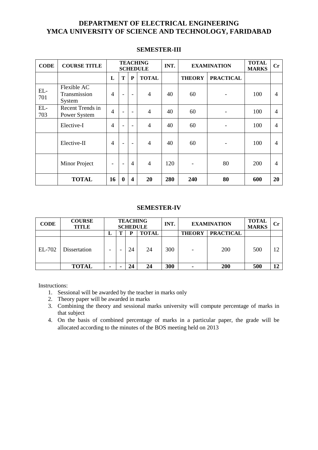# **DEPARTMENT OF ELECTRICAL ENGINEERING YMCA UNIVERSITY OF SCIENCE AND TECHNOLOGY, FARIDABAD**

| <b>CODE</b>  | <b>COURSE TITLE</b>                   | <b>TEACHING</b><br><b>SCHEDULE</b> |                          |                          |                | INT. | <b>EXAMINATION</b> |                  | <b>TOTAL</b><br><b>MARKS</b> | $\mathbf{C}\mathbf{r}$ |
|--------------|---------------------------------------|------------------------------------|--------------------------|--------------------------|----------------|------|--------------------|------------------|------------------------------|------------------------|
|              |                                       | L                                  | T                        | P                        | <b>TOTAL</b>   |      | <b>THEORY</b>      | <b>PRACTICAL</b> |                              |                        |
| EL-<br>701   | Flexible AC<br>Transmission<br>System | $\overline{4}$                     | $\overline{\phantom{a}}$ | $\overline{\phantom{a}}$ | $\overline{4}$ | 40   | 60                 |                  | 100                          | $\overline{4}$         |
| $EL-$<br>703 | Recent Trends in<br>Power System      | $\overline{4}$                     |                          | $\overline{\phantom{a}}$ | $\overline{4}$ | 40   | 60                 |                  | 100                          | $\overline{4}$         |
|              | Elective-I                            | $\overline{4}$                     |                          | $\blacksquare$           | $\overline{4}$ | 40   | 60                 |                  | 100                          | $\overline{4}$         |
|              | Elective-II                           | $\overline{4}$                     | $\overline{\phantom{0}}$ | $\overline{\phantom{a}}$ | $\overline{4}$ | 40   | 60                 |                  | 100                          | $\overline{4}$         |
|              | Minor Project                         | -                                  | $\overline{a}$           | $\overline{4}$           | $\overline{4}$ | 120  |                    | 80               | 200                          | $\overline{4}$         |
|              | <b>TOTAL</b>                          | 16                                 | $\mathbf 0$              | $\overline{\mathbf{4}}$  | 20             | 280  | 240                | 80               | 600                          | 20                     |

## **SEMESTER-III**

## **SEMESTER-IV**

| <b>CODE</b> | <b>COURSE</b><br>TITLE |                          | <b>TEACHING</b><br><b>SCHEDULE</b> |              | <b>INT</b> | <b>EXAMINATION</b> |                  | <b>TOTAL</b><br><b>MARKS</b> | $\bf Cr$ |
|-------------|------------------------|--------------------------|------------------------------------|--------------|------------|--------------------|------------------|------------------------------|----------|
|             |                        | ⊥                        | D                                  | <b>TOTAL</b> |            | <b>THEORY</b>      | <b>PRACTICAL</b> |                              |          |
| EL-702      | Dissertation           | $\overline{\phantom{0}}$ | 24                                 | 24           | 300        |                    | <b>200</b>       | 500                          | 12       |
|             | <b>TOTAL</b>           | ۰                        | 24                                 | 24           | 300        |                    | <b>200</b>       | 500                          | 12       |

Instructions:

- 1. Sessional will be awarded by the teacher in marks only
- 2. Theory paper will be awarded in marks
- 3. Combining the theory and sessional marks university will compute percentage of marks in that subject
- 4. On the basis of combined percentage of marks in a particular paper, the grade will be allocated according to the minutes of the BOS meeting held on 2013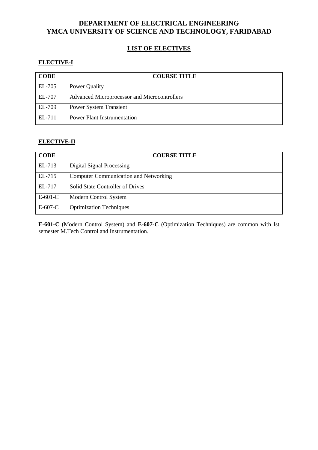# **DEPARTMENT OF ELECTRICAL ENGINEERING YMCA UNIVERSITY OF SCIENCE AND TECHNOLOGY, FARIDABAD**

# **LIST OF ELECTIVES**

# **ELECTIVE-I**

| <b>CODE</b> | <b>COURSE TITLE</b>                          |
|-------------|----------------------------------------------|
| EL-705      | Power Quality                                |
| EL-707      | Advanced Microprocessor and Microcontrollers |
| EL-709      | <b>Power System Transient</b>                |
| EL-711      | <b>Power Plant Instrumentation</b>           |

# **ELECTIVE-II**

| <b>CODE</b> | <b>COURSE TITLE</b>                          |
|-------------|----------------------------------------------|
| EL-713      | Digital Signal Processing                    |
| EL-715      | <b>Computer Communication and Networking</b> |
| EL-717      | <b>Solid State Controller of Drives</b>      |
| $E-601-C$   | Modern Control System                        |
| $E-607-C$   | <b>Optimization Techniques</b>               |

**E-601-C** (Modern Control System) and **E-607-C** (Optimization Techniques) are common with Ist Semester M.Tech Control and Instrumentation.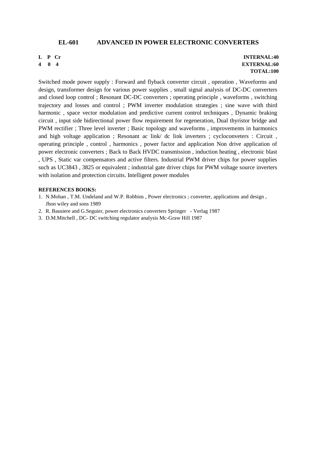#### **EL-601 ADVANCED IN POWER ELECTRONIC CONVERTERS**

**L P Cr**

**4 0 4**

#### **INTERNAL:40 EXTERNAL:60 TOTAL:100**

Switched mode power supply : Forward and flyback converter circuit , operation , Waveforms and design, transformer design for various power supplies , small signal analysis of DC-DC converters and closed loop control ; Resonant DC-DC converters ; operating principle , waveforms , switching trajectory and losses and control ; PWM inverter modulation strategies ; sine wave with third harmonic , space vector modulation and predictive current control techniques , Dynamic braking circuit , input side bidirectional power flow requirement for regeneration, Dual thyristor bridge and PWM rectifier ; Three level inverter ; Basic topology and waveforms , improvements in harmonics and high voltage application ; Resonant ac link/ dc link inverters ; cycloconveters : Circuit , operating principle , control , harmonics , power factor and application Non drive application of power electronic converters ; Back to Back HVDC transmission , induction heating , electronic blast , UPS , Static var compensators and active filters. Industrial PWM driver chips for power supplies such as UC3843 , 3825 or equivalent ; industrial gate driver chips for PWM voltage source inverters with isolation and protection circuits. Intelligent power modules

#### **REFERENCES BOOKS:**

- 1. N.Mohan , T.M. Undeland and W.P. Robbins , Power electronics ; converter, applications and design , Jhon wiley and sons 1989
- 2. R. Bausiere and G.Seguier, power electronics converters Springer Verlag 1987
- 3. D.M.Mitchell , DC- DC switching regulator analysis Mc-Graw Hill 1987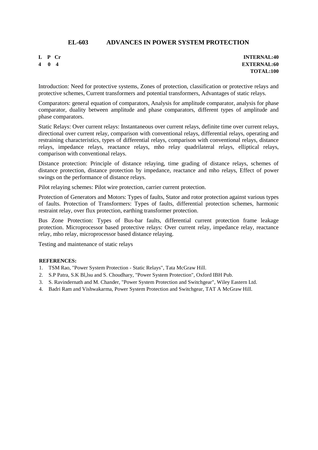# **EL-603 ADVANCES IN POWER SYSTEM PROTECTION**

#### **L P Cr 4 0 4**

**INTERNAL:40 EXTERNAL:60 TOTAL:100**

Introduction: Need for protective systems, Zones of protection, classification or protective relays and protective schemes, Current transformers and potential transformers, Advantages of static relays.

Comparators: general equation of comparators, Analysis for amplitude comparator, analysis for phase comparator, duality between amplitude and phase comparators, different types of amplitude and phase comparators.

Static Relays: Over current relays: Instantaneous over current relays, definite time over current relays, directional over current relay, comparison with conventional relays, differential relays, operating and restraining characteristics, types of differential relays, comparison with conventional relays, distance relays, impedance relays, reactance relays, mho relay quadrilateral relays, elliptical relays, comparison with conventional relays.

Distance protection: Principle of distance relaying, time grading of distance relays, schemes of distance protection, distance protection by impedance, reactance and mho relays, Effect of power swings on the performance of distance relays.

Pilot relaying schemes: Pilot wire protection, carrier current protection.

Protection of Generators and Motors: Types of faults, Stator and rotor protection against various types of faults. Protection of Transformers: Types of faults, differential protection schemes, harmonic restraint relay, over flux protection, earthing transformer protection.

Bus Zone Protection: Types of Bus-bar faults, differential current protection frame leakage protection. Microprocessor based protective relays: Over current relay, impedance relay, reactance relay, mho relay, microprocessor based distance relaying.

Testing and maintenance of static relays

#### **REFERENCES:**

- 1. TSM Rao, "Power System Protection Static Relays", Tata McGraw Hill.
- 2. S.P Patra, S.K Bl,lsu and S. Choudhary, "Power System Protection", Oxford IBH Pub.
- 3. S. Ravindernath and M. Chander, "Power System Protection and Switchgear", Wiley Eastern Ltd.
- 4. Badri Ram and Vishwakarma, Power System Protection and Switchgear, TAT A McGraw Hill.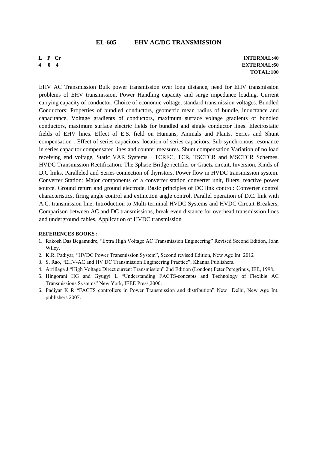#### **EL-605 EHV AC/DC TRANSMISSION**

**L P Cr 4 0 4**

**INTERNAL:40 EXTERNAL:60 TOTAL:100**

EHV AC Transmission Bulk power transmission over long distance, need for EHV transmission problems of EHV transmission, Power Handling capacity and surge impedance loading. Current carrying capacity of conductor. Choice of economic voltage, standard transmission voltages. Bundled Conductors: Properties of bundled conductors, geometric mean radius of bundle, inductance and capacitance, Voltage gradients of conductors, maximum surface voltage gradients of bundled conductors, maximum surface electric fields for bundled and single conductor lines. Electrostatic fields of EHV lines. Effect of E.S. field on Humans, Animals and Plants. Series and Shunt compensation : Effect of series capacitors, location of series capacitors. Sub-synchronous resonance in series capacitor compensated lines and counter measures. Shunt compensation Variation of no load receiving end voltage, Static VAR Systems : TCRFC, TCR, TSCTCR and MSCTCR Schemes. HVDC Transmission Rectification: The 3phase Bridge rectifier or Graetz circuit, Inversion, Kinds of D.C links, Paralleled and Series connection of thyristors, Power flow in HVDC transmission system. Converter Station: Major components of a converter station converter unit, filters, reactive power source. Ground return and ground electrode. Basic principles of DC link control: Converter control characteristics, firing angle control and extinction angle control. Parallel operation of D.C. link with A.C. transmission line, Introduction to Multi-terminal HVDC Systems and HVDC Circuit Breakers, Comparison between AC and DC transmissions, break even distance for overhead transmission lines and underground cables, Application of HVDC transmission

#### **REFERENCES BOOKS :**

- 1. Rakosh Das Begamudre, "Extra High Voltage AC Transmission Engineering" Revised Second Edition, John Wiley.
- 2. K.R. Padiyar, "HVDC Power Transmission System", Second revised Edition, New Age Int. 2012
- 3. S. Rao, "EHV-AC and HV DC Transmission Engineering Practice", Khanna Publishers.
- 4. Arrillaga J "High Voltage Direct current Transmission" 2nd Edition (London) Peter Peregrinus, IEE, 1998.
- 5. Hingorani HG and Gyugyi L "Understanding FACTS-concepts and Technology of Flexible AC Transmissions Systems" New York, IEEE Press,2000.
- 6. Padiyar K R "FACTS controllers in Power Transmission and distribution" New Delhi, New Age Int. publishers 2007.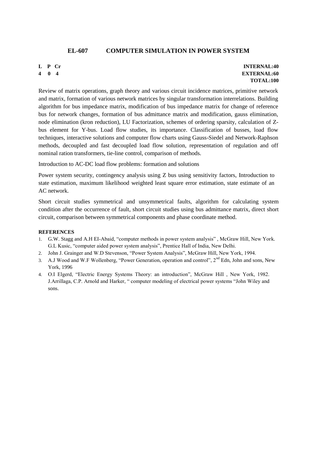# **EL-607 COMPUTER SIMULATION IN POWER SYSTEM**

# **L P Cr**

**4 0 4**

**INTERNAL:40 EXTERNAL:60 TOTAL:100**

Review of matrix operations, graph theory and various circuit incidence matrices, primitive network and matrix, formation of various network matrices by singular transformation interrelations. Building algorithm for bus impedance matrix, modification of bus impedance matrix for change of reference bus for network changes, formation of bus admittance matrix and modification, gauss elimination, node elimination (kron reduction), LU Factorization, schemes of ordering sparsity, calculation of Zbus element for Y-bus. Load flow studies, its importance. Classification of busses, load flow techniques, interactive solutions and computer flow charts using Gauss-Siedel and Network-Raphson methods, decoupled and fast decoupled load flow solution, representation of regulation and off nominal ration transformers, tie-line control, comparison of methods.

Introduction to AC-DC load flow problems: formation and solutions

Power system security, contingency analysis using Z bus using sensitivity factors, Introduction to state estimation, maximum likelihood weighted least square error estimation, state estimate of an AC network.

Short circuit studies symmetrical and unsymmetrical faults, algorithm for calculating system condition after the occurrence of fault, short circuit studies using bus admittance matrix, direct short circuit, comparison between symmetrical components and phase coordinate method.

# **REFERENCES**

- 1. G.W. Stagg and A.H EI-Abaid, "computer methods in power system analysis" , McGraw Hill, New York. G.L Kusic, "computer aided power system analysis", Prentice Hall of India, New Delhi.
- 2. John J. Grainger and W.D Stevenson, "Power System Analysis", McGraw Hill, New York, 1994.
- 3. A.J Wood and W.F Wollenberg, "Power Generation, operation and control", 2<sup>nd</sup> Edn, John and sons, New York, 1996
- 4. O.I Elgerd, "Electric Energy Systems Theory: an introduction", McGraw Hill , New York, 1982. J.Arrillaga, C.P. Arnold and Harker, " computer modeling of electrical power systems "John Wiley and sons.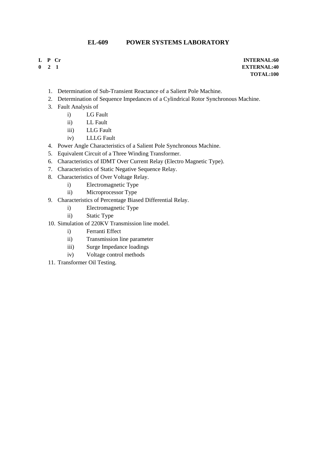# **EL-609 POWER SYSTEMS LABORATORY**

- **L P Cr**
- **0 2 1**

- 1. Determination of Sub-Transient Reactance of a Salient Pole Machine.
- 2. Determination of Sequence Impedances of a Cylindrical Rotor Synchronous Machine.
- 3. Fault Analysis of
	- i) LG Fault
	- ii) LL Fault
	- iii) LLG Fault
	- iv) LLLG Fault
- 4. Power Angle Characteristics of a Salient Pole Synchronous Machine.
- 5. Equivalent Circuit of a Three Winding Transformer.
- 6. Characteristics of IDMT Over Current Relay (Electro Magnetic Type).
- 7. Characteristics of Static Negative Sequence Relay.
- 8. Characteristics of Over Voltage Relay.
	- i) Electromagnetic Type
	- ii) Microprocessor Type
- 9. Characteristics of Percentage Biased Differential Relay.
	- i) Electromagnetic Type
	- ii) Static Type
- 10. Simulation of 220KV Transmission line model.
	- i) Ferranti Effect
	- ii) Transmission line parameter
	- iii) Surge Impedance loadings
	- iv) Voltage control methods
- 11. Transformer Oil Testing.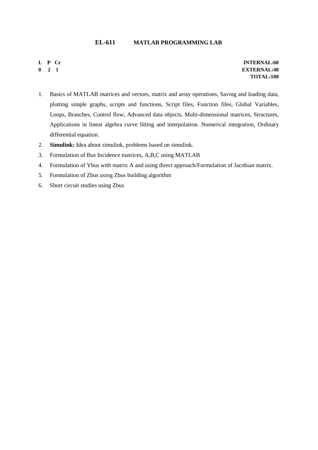#### **EL-611 MATLAB PROGRAMMING LAB**

**L P Cr 0 2 1**

- 1. Basics of MATLAB matrices and vectors, matrix and array operations, Saving and loading data, plotting simple graphs, scripts and functions, Script files, Function files, Global Variables, Loops, Branches, Control flow, Advanced data objects, Multi-dimensional matrices, Structures, Applications in linear algebra curve fitting and interpolation. Numerical integration, Ordinary differential equation.
- 2. **Simulink:** Idea about simulink, problems based on simulink.
- 3. Formulation of Bus Incidence matrices, A,B,C using MATLAB
- 4. Formulation of Ybus with matrix A and using direct approach/Formulation of Jacobian matrix.
- 5. Formulation of Zbus using Zbus building algorithm
- 6. Short circuit studies using Zbus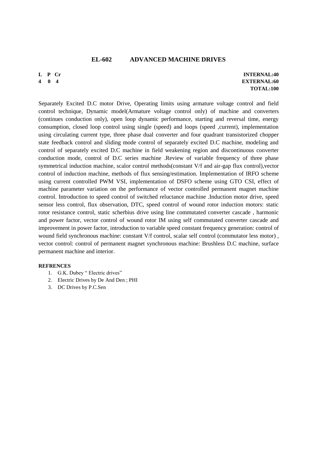#### **EL-602 ADVANCED MACHINE DRIVES**

#### **L P Cr 4 0 4**

**INTERNAL:40 EXTERNAL:60 TOTAL:100**

Separately Excited D.C motor Drive, Operating limits using armature voltage control and field control technique, Dynamic model(Armature voltage control only) of machine and converters (continues conduction only), open loop dynamic performance, starting and reversal time, energy consumption, closed loop control using single (speed) and loops (speed ,current), implementation using circulating current type, three phase dual converter and four quadrant transistorized chopper state feedback control and sliding mode control of separately excited D.C machine, modeling and control of separately excited D.C machine in field weakening region and discontinuous converter conduction mode, control of D.C series machine .Review of variable frequency of three phase symmetrical induction machine, scalor control methods(constant V/f and air-gap flux control),vector control of induction machine, methods of flux sensing/estimation. Implementation of IRFO scheme using current controlled PWM VSI, implementation of DSFO scheme using GTO CSI, effect of machine parameter variation on the performance of vector controlled permanent magnet machine control. Introduction to speed control of switched reluctance machine .Induction motor drive, speed sensor less control, flux observation, DTC, speed control of wound rotor induction motors: static rotor resistance control, static scherbius drive using line commutated converter cascade , harmonic and power factor, vector control of wound rotor IM using self commutated converter cascade and improvement in power factor, introduction to variable speed constant frequency generation: control of wound field synchronous machine: constant V/f control, scalar self control (commutator less motor) , vector control: control of permanent magnet synchronous machine: Brushless D.C machine, surface permanent machine and interior.

#### **REFRENCES**

- 1. G.K. Dubey " Electric drives"
- 2. Electric Drives by De And Den ; PHI
- 3. DC Drives by P.C.Sen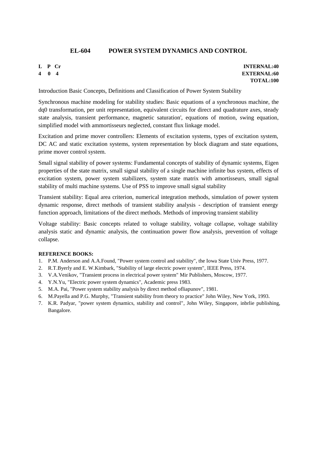# **EL-604 POWER SYSTEM DYNAMICS AND CONTROL**

# **L P Cr**

**4 0 4**

**INTERNAL:40 EXTERNAL:60 TOTAL:100**

Introduction Basic Concepts, Definitions and Classification of Power System Stability

Synchronous machine modeling for stability studies: Basic equations of a synchronous machine, the dq0 transformation, per unit representation, equivalent circuits for direct and quadrature axes, steady state analysis, transient performance, magnetic saturation', equations of motion, swing equation, simplified model with ammortisseurs neglected, constant flux linkage model.

Excitation and prime mover controllers: Elements of excitation systems, types of excitation system, DC AC and static excitation systems, system representation by block diagram and state equations, prime mover control system.

Small signal stability of power systems: Fundamental concepts of stability of dynamic systems, Eigen properties of the state matrix, small signal stability of a single machine infinite bus system, effects of excitation system, power system stabilizers, system state matrix with amortisseurs, small signal stability of multi machine systems. Use of PSS to improve small signal stability

Transient stability: Equal area criterion, numerical integration methods, simulation of power system dynamic response, direct methods of transient stability analysis - description of transient energy function approach, limitations of the direct methods. Methods of improving transient stability

Voltage stability: Basic concepts related to voltage stability, voltage collapse, voltage stability analysis static and dynamic analysis, the continuation power flow analysis, prevention of voltage collapse.

#### **REFERENCE BOOKS:**

- 1. P.M. Anderson and A.A.Found, "Power system control and stability", the Iowa State Univ Press, 1977.
- 2. R.T.Byerly and E. W.Kimbark, "Stability of large electric power system", IEEE Press, 1974.
- 3. V.A.Venikov, "Transient process in electrical power system" Mir Publishers, Moscow, 1977.
- 4. Y.N.Yu, "Electric power system dynamics", Academic press 1983.
- 5. M.A. Pai, "Power system stability analysis by direct method ofliapunov", 1981.
- 6. M.Payella and P.G. Murphy, "Transient stability from theory to practice" John Wiley, New York, 1993.
- 7. K.R. Padyar, "power system dynamics, stability and control", John Wiley, Singapore, inbrlie publishing, Bangalore.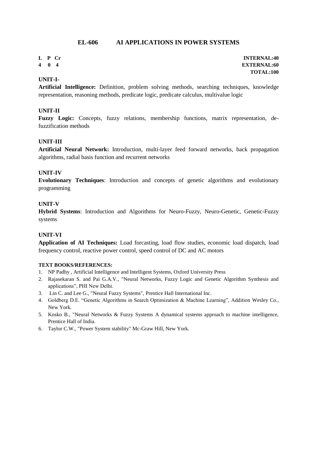# **EL-606 AI APPLICATIONS IN POWER SYSTEMS**

# **L P Cr**

**4 0 4**

# **UNIT-I-**

**Artificial Intelligence:** Definition, problem solving methods, searching techniques, knowledge representation, reasoning methods, predicate logic, predicate calculus, multivalue logic

#### **UNIT-II**

**Fuzzy Logic:** Concepts, fuzzy relations, membership functions, matrix representation, defuzzification methods

#### **UNIT-III**

**Artificial Neural Network:** Introduction, multi-layer feed forward networks, back propagation algorithms, radial basis function and recurrent networks

#### **UNIT-IV**

**Evolutionary Techniques**: Introduction and concepts of genetic algorithms and evolutionary programming

#### **UNIT-V**

**Hybrid Systems**: Introduction and Algorithms for Neuro-Fuzzy, Neuro-Genetic, Genetic-Fuzzy systems

#### **UNIT-VI**

**Application of AI Techniques:** Load forcasting, load flow studies, economic load dispatch, load frequency control, reactive power control, speed control of DC and AC motors

#### **TEXT BOOKS/REFERENCES:**

- 1. NP Padhy , Artificial Intelligence and Intelligent Systems, Oxford University Press
- 2. Rajasekaran S. and Pai G.A.V., "Neural Networks, Fuzzy Logic and Genetic Algorithm Synthesis and applications", PHI New Delhi.
- 3. Lin C. and Lee G., "Neural Fuzzy Systems", Prentice Hall International Inc.
- 4. Goldberg D.E. "Genetic Algorithms in Search Optimization & Machine Learning", Addition Wesley Co., New York.
- 5. Kosko B., "Neural Networks & Fuzzy Systems A dynamical systems approach to machine intelligence, Prentice Hall of India.
- 6. Taylor C.W., "Power System stability" Mc-Graw Hill, New York.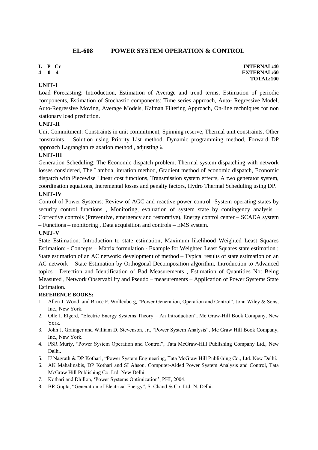# **EL-608 POWER SYSTEM OPERATION & CONTROL**

# **L P Cr**

**4 0 4**

# **UNIT-I**

Load Forecasting: Introduction, Estimation of Average and trend terms, Estimation of periodic components, Estimation of Stochastic components: Time series approach, Auto- Regressive Model, Auto-Regressive Moving, Average Models, Kalman Filtering Approach, On-line techniques for non stationary load prediction.

# **UNIT-II**

Unit Commitment: Constraints in unit commitment, Spinning reserve, Thermal unit constraints, Other constraints – Solution using Priority List method, Dynamic programming method, Forward DP approach Lagrangian relaxation method , adjusting λ

# **UNIT-III**

Generation Scheduling: The Economic dispatch problem, Thermal system dispatching with network losses considered, The Lambda, iteration method, Gradient method of economic dispatch, Economic dispatch with Piecewise Linear cost functions, Transmission system effects, A two generator system, coordination equations, Incremental losses and penalty factors, Hydro Thermal Scheduling using DP.

#### **UNIT-IV**

Control of Power Systems: Review of AGC and reactive power control -System operating states by security control functions , Monitoring, evaluation of system state by contingency analysis – Corrective controls (Preventive, emergency and restorative), Energy control center – SCADA system

– Functions – monitoring , Data acquisition and controls – EMS system.

# **UNIT-V**

State Estimation: Introduction to state estimation, Maximum likelihood Weighted Least Squares Estimation: - Concepts – Matrix formulation - Example for Weighted Least Squares state estimation ; State estimation of an AC network: development of method – Typical results of state estimation on an AC network – State Estimation by Orthogonal Decomposition algorithm, Introduction to Advanced topics : Detection and Identification of Bad Measurements , Estimation of Quantities Not Being Measured , Network Observability and Pseudo – measurements – Application of Power Systems State **Estimation** 

# **REFERENCE BOOKS:**

- 1. Allen J. Wood, and Bruce F. Wollenberg, "Power Generation, Operation and Control", John Wiley & Sons, Inc., New York.
- 2. Olle I. Elgerd, "Electric Energy Systems Theory An Introduction", Mc Graw-Hill Book Company, New York.
- 3. John J. Grainger and William D. Stevenson, Jr., "Power System Analysis", Mc Graw Hill Book Company, Inc., New York.
- 4. PSR Murty, "Power System Operation and Control", Tata McGraw-Hill Publishing Company Ltd., New Delhi.
- 5. IJ Nagrath & DP Kothari, "Power System Engineering, Tata McGraw Hill Publishing Co., Ltd. New Delhi.
- 6. AK Mahalinabis, DP Kothari and SI Ahson, Computer-Aided Power System Analysis and Control, Tata McGraw Hill Publishing Co. Ltd. New Delhi.
- 7. Kothari and Dhillon, "Power Systems Optimization", PHI, 2004.
- 8. BR Gupta, "Generation of Electrical Energy", S. Chand & Co. Ltd. N. Delhi.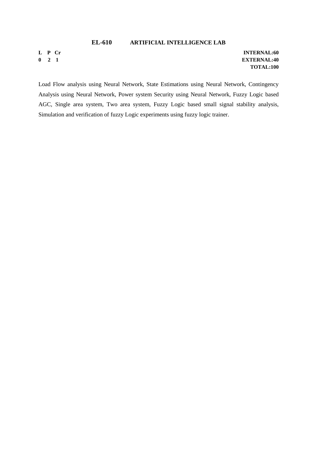#### **EL-610 ARTIFICIAL INTELLIGENCE LAB**

**L P Cr 0 2 1**

**INTERNAL:60 EXTERNAL:40 TOTAL:100**

Load Flow analysis using Neural Network, State Estimations using Neural Network, Contingency Analysis using Neural Network, Power system Security using Neural Network, Fuzzy Logic based AGC, Single area system, Two area system, Fuzzy Logic based small signal stability analysis, Simulation and verification of fuzzy Logic experiments using fuzzy logic trainer.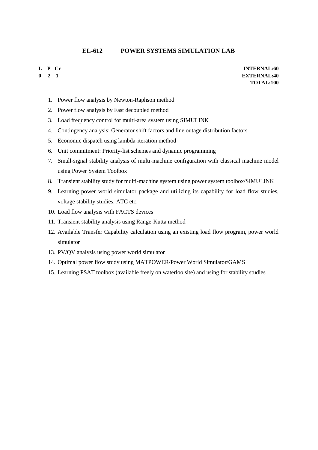# **EL-612 POWER SYSTEMS SIMULATION LAB**

# **L P Cr**

**0 2 1**

- 1. Power flow analysis by Newton-Raphson method
- 2. Power flow analysis by Fast decoupled method
- 3. Load frequency control for multi-area system using SIMULINK
- 4. Contingency analysis: Generator shift factors and line outage distribution factors
- 5. Economic dispatch using lambda-iteration method
- 6. Unit commitment: Priority-list schemes and dynamic programming
- 7. Small-signal stability analysis of multi-machine configuration with classical machine model using Power System Toolbox
- 8. Transient stability study for multi-machine system using power system toolbox/SIMULINK
- 9. Learning power world simulator package and utilizing its capability for load flow studies, voltage stability studies, ATC etc.
- 10. Load flow analysis with FACTS devices
- 11. Transient stability analysis using Range-Kutta method
- 12. Available Transfer Capability calculation using an existing load flow program, power world simulator
- 13. PV/QV analysis using power world simulator
- 14. Optimal power flow study using MATPOWER/Power World Simulator/GAMS
- 15. Learning PSAT toolbox (available freely on waterloo site) and using for stability studies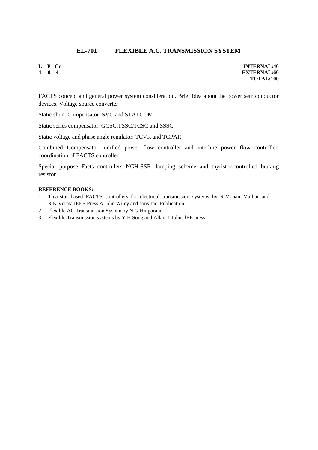# **EL-701 FLEXIBLE A.C. TRANSMISSION SYSTEM**

**L P Cr 4 0 4**

**INTERNAL:40 EXTERNAL:60 TOTAL:100**

FACTS concept and general power system consideration. Brief idea about the power semiconductor devices. Voltage source converter

Static shunt Compensator: SVC and STATCOM

Static series compensator: GCSC,TSSC,TCSC and SSSC

Static voltage and phase angle regulator: TCVR and TCPAR

Combined Compensator: unified power flow controller and interline power flow controller, coordination of FACTS controller

Special purpose Facts controllers NGH-SSR damping scheme and thyristor-controlled braking resistor

#### **REFERENCE BOOKS:**

- 1. Thyristor based FACTS controllers for electrical transmission systems by R.Mohan Mathur and R.K.Verma IEEE Press A John Wiley and sons Inc. Publication
- 2. Flexible AC Transmission System by N.G.Hingorani
- 3. Flexible Transmission systems by Y.H Song and Allan T Johns lEE press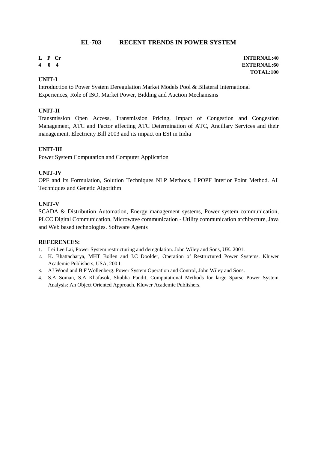# **EL-703 RECENT TRENDS IN POWER SYSTEM**

# **L P Cr**

**4 0 4**

# **UNIT-I**

Introduction to Power System Deregulation Market Models Pool & Bilateral International Experiences, Role of ISO, Market Power, Bidding and Auction Mechanisms

#### **UNIT-II**

Transmission Open Access, Transmission Pricing, Impact of Congestion and Congestion Management, ATC and Factor affecting ATC Determination of ATC, Ancillary Services and their management, Electricity Bill 2003 and its impact on ESI in India

# **UNIT-III**

Power System Computation and Computer Application

#### **UNIT-IV**

OPF and its Formulation, Solution Techniques NLP Methods, LPOPF Interior Point Method. AI Techniques and Genetic Algorithm

#### **UNIT-V**

SCADA & Distribution Automation, Energy management systems, Power system communication, PLCC Digital Communication, Microwave communication - Utility communication architecture, Java and Web based technologies. Software Agents

#### **REFERENCES:**

- 1. Lei Lee Lai, Power System restructuring and deregulation. John Wiley and Sons, UK. 2001.
- 2. K. Bhattacharya, MHT Bollen and J.C Doolder, Operation of Restructured Power Systems, Kluwer Academic Publishers, USA, 200 I.
- 3. AJ Wood and B.F Wollenberg. Power System Operation and Control, John Wiley and Sons.
- 4. S.A Soman, S.A Khafasok, Shubha Pandit, Computational Methods for large Sparse Power System Analysis: An Object Oriented Approach. Kluwer Academic Publishers.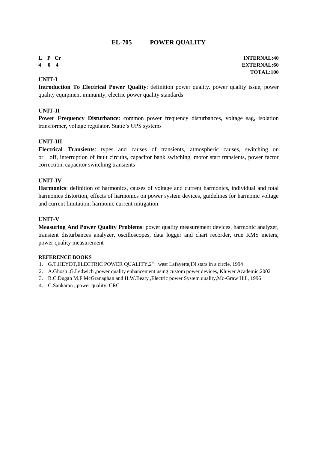# **EL-705 POWER QUALITY**

**L P Cr 4 0 4**

#### **UNIT-I**

**Introduction To Electrical Power Quality**: definition power quality. power quality issue, power quality equipment immunity, electric power quality standards

#### **UNIT-II**

**Power Frequency Disturbance**: common power frequency disturbances, voltage sag, isolation transformer, voltage regulator. Static"s UPS systems

#### **UNIT-III**

**Electrical Transients**: types and causes of transients, atmospheric causes, switching on or off, interruption of fault circuits, capacitor bank switching, motor start transients, power factor correction, capacitor switching transients

#### **UNIT-IV**

**Harmonics**: definition of harmonics, causes of voltage and current harmonics, individual and total harmonics distortion, effects of harmonics on power system devices, guidelines for harmonic voltage and current limitation, harmonic current mitigation

#### **UNIT-V**

**Measuring And Power Quality Problems**: power quality measurement devices, harmonic analyzer, transient disturbances analyzer, oscilloscopes, data logger and chart recorder, true RMS meters, power quality measurement

#### **REFERENCE BOOKS**

- 1. G.T.HEYDT, ELECTRIC POWER QUALITY, 2<sup>nd</sup> west Lafayette, IN stars in a circle, 1994
- 2. A.Ghosh ,G.Ledwich ,power quality enhancement using custom power devices, Kluwer Academic,2002
- 3. R.C.Dugan M.F.McGranaghan and H.W.Beaty ,Electric power System quality,Mc-Graw Hill, 1996
- 4. C.Sankaran , power quality. CRC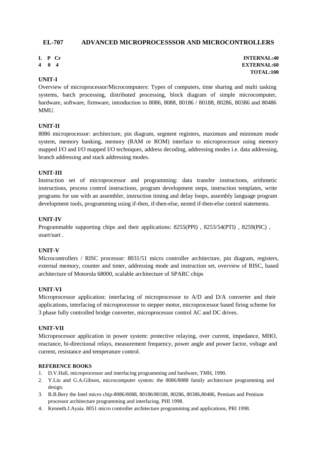# **EL-707 ADVANCED MICROPROCESSSOR AND MICROCONTROLLERS**

- **L P Cr**
- **4 0 4**

#### **UNIT-I**

Overview of microprocessor/Microcomputers: Types of computers, time sharing and multi tasking systems, batch processing, distributed processing, block diagram of simple microcomputer, hardware, software, firmware, introduction to 8086, 8088, 80186 / 80188, 80286, 80386 and 80486 **MMU** 

#### **UNIT-II**

8086 microprocessor: architecture, pin diagram, segment registers, maximum and minimum mode system, memory banking, memory (RAM or ROM) interface to microprocessor using memory mapped I/O and I/O mapped I/O techniques, address decoding, addressing modes i.e. data addressing, branch addressing and stack addressing modes.

#### **UNIT-III**

Instruction set of microprocessor and programming: data transfer instructions, arithmetic instructions, process control instructions, program development steps, instruction templates, write programs for use with an assembler, instruction timing and delay loops, assembly language program development tools, programming using if-then, if-then-else, nested if-then-else control statements.

#### **UNIT-IV**

Programmable supporting chips and their applications: 8255(PPI) , 8253/54(PTI) , 8259(PIC) , usart/uart .

#### **UNIT-V**

Microcontrollers / RISC processor: 8031/51 micro controller architecture, pin diagram, registers, external memory, counter and timer, addressing mode and instruction set, overview of RISC, based architecture of Motorola 68000, scalable architecture of SPARC chips

#### **UNIT-VI**

Microprocessor application: interfacing of microprocessor to A/D and D/A converter and their applications, interfacing of microprocessor to stepper motor, microprocessor based firing scheme for 3 phase fully controlled bridge converter, microprocessor control AC and DC drives.

#### **UNIT-VII**

Microprocessor application in power system: protective relaying, over current, impedance, MHO, reactance, bi-directional relays, measurement frequency, power angle and power factor, voltage and current, resistance and temperature control.

#### **REFERENCE BOOKS**

- 1. D.V.Hall, microprocessor and interfacing programming and hardware, TMH, 1990.
- 2. Y.Liu and G.A.Gibson, microcomputer system: the 8086/8088 family architecture programming and design.
- 3. B.B.Bery the Intel micro chip-8086/8088, 80186/80188, 80286, 80386,80486, Pentium and Pentium processor architecture programming and interfacing. PHI 1998.
- 4. Kenneth.J.Ayaia. 8051 micro controller architecture programming and applications, PRI 1998.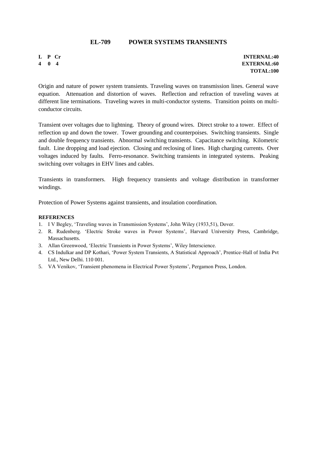# **EL-709 POWER SYSTEMS TRANSIENTS**

**L P Cr 4 0 4**

**INTERNAL:40 EXTERNAL:60 TOTAL:100**

Origin and nature of power system transients. Traveling waves on transmission lines. General wave equation. Attenuation and distortion of waves. Reflection and refraction of traveling waves at different line terminations. Traveling waves in multi-conductor systems. Transition points on multiconductor circuits.

Transient over voltages due to lightning. Theory of ground wires. Direct stroke to a tower. Effect of reflection up and down the tower. Tower grounding and counterpoises. Switching transients. Single and double frequency transients. Abnormal switching transients. Capacitance switching. Kilometric fault. Line dropping and load ejection. Closing and reclosing of lines. High charging currents. Over voltages induced by faults. Ferro-resonance. Switching transients in integrated systems. Peaking switching over voltages in EHV lines and cables.

Transients in transformers. High frequency transients and voltage distribution in transformer windings.

Protection of Power Systems against transients, and insulation coordination.

#### **REFERENCES**

- 1. I V Begley, 'Traveling waves in Transmission Systems', John Wiley (1933,51), Dover.
- 2. R. Rudenberg. 'Electric Stroke waves in Power Systems', Harvard University Press, Cambridge, Massachusetts.
- 3. Allan Greenwood, 'Electric Transients in Power Systems', Wiley Interscience.
- 4. CS Indulkar and DP Kothari, "Power System Transients, A Statistical Approach", Prentice-Hall of India Pvt Ltd., New Delhi. 110 001.
- 5. VA Venikov, "Transient phenomena in Electrical Power Systems", Pergamon Press, London.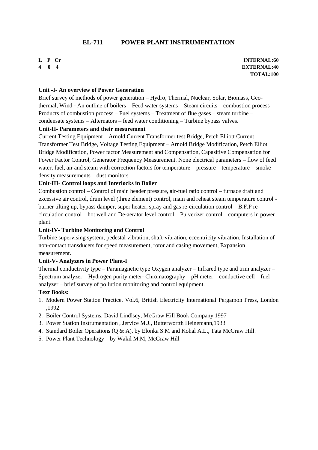# **EL-711 POWER PLANT INSTRUMENTATION**

#### **L P Cr 4 0 4**

**INTERNAL:60 EXTERNAL:40 TOTAL:100**

#### **Unit -I- An overview of Power Generation**

Brief survey of methods of power generation – Hydro, Thermal, Nuclear, Solar, Biomass, Geothermal, Wind - An outline of boilers – Feed water systems – Steam circuits – combustion process – Products of combustion process – Fuel systems – Treatment of flue gases – steam turbine – condensate systems – Alternators – feed water conditioning – Turbine bypass valves.

#### **Unit-II- Parameters and their mesurement**

Current Testing Equipment – Arnold Current Transformer test Bridge, Petch Elliott Current Transformer Test Bridge, Voltage Testing Equipment – Arnold Bridge Modification, Petch Elliot Bridge Modification, Power factor Measurement and Compensation, Capasitive Compensation for Power Factor Control, Generator Frequency Measurement. None electrical parameters – flow of feed water, fuel, air and steam with correction factors for temperature – pressure – temperature – smoke density measurements – dust monitors

#### **Unit-III- Control loops and Interlocks in Boiler**

Combustion control – Control of main header pressure, air-fuel ratio control – furnace draft and excessive air control, drum level (three element) control, main and reheat steam temperature control burner tilting up, bypass damper, super heater, spray and gas re-circulation control – B.F.P recirculation control – hot well and De-aerator level control – Pulverizer control – computers in power plant.

#### **Unit-IV- Turbine Monitoring and Control**

Turbine supervising system; pedestal vibration, shaft-vibration, eccentricity vibration. Installation of non-contact transducers for speed measurement, rotor and casing movement, Expansion measurement.

#### **Unit-V- Analyzers in Power Plant-I**

Thermal conductivity type – Paramagnetic type Oxygen analyzer – Infrared type and trim analyzer – Spectrum analyzer – Hydrogen purity meter- Chromatography – pH meter – conductive cell – fuel analyzer – brief survey of pollution monitoring and control equipment.

#### **Text Books:**

- 1. Modern Power Station Practice, Vol.6, British Electricity International Pergamon Press, London ,1992
- 2. Boiler Control Systems, David Lindlsey, McGraw Hill Book Company,1997
- 3. Power Station Instrumentation , Jervice M.J., Butterwortth Heinemann,1933
- 4. Standard Boiler Operations (Q & A), by Elonka S.M and Kohal A.L., Tata McGraw Hill.
- 5. Power Plant Technology by Wakil M.M, McGraw Hill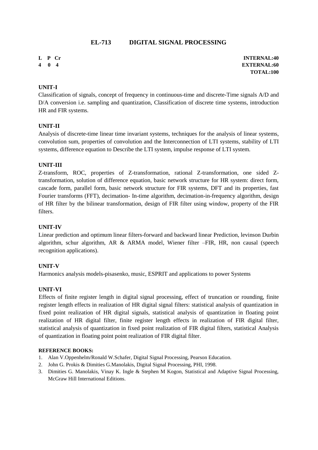# **EL-713 DIGITAL SIGNAL PROCESSING**

- **L P Cr**
- **4 0 4**

#### **UNIT-I**

Classification of signals, concept of frequency in continuous-time and discrete-Time signals A/D and D/A conversion i.e. sampling and quantization, Classification of discrete time systems, introduction HR and FIR systems.

#### **UNIT-II**

Analysis of discrete-time linear time invariant systems, techniques for the analysis of linear systems, convolution sum, properties of convolution and the Interconnection of LTI systems, stability of LTI systems, difference equation to Describe the LTI system, impulse response of LTI system.

#### **UNIT-III**

Z-transform, ROC, properties of Z-transformation, rational Z-transformation, one sided Ztransformation, solution of difference equation, basic network structure for HR system: direct form, cascade form, parallel form, basic network structure for FIR systems, DFT and its properties, fast Fourier transforms (FFT), decimation- In-time algorithm, decimation-in-frequency algorithm, design of HR filter by the bilinear transformation, design of FIR filter using window, property of the FIR filters.

#### **UNIT-IV**

Linear prediction and optimum linear filters-forward and backward linear Prediction, levinson Durbin algorithm, schur algorithm, AR & ARMA model, Wiener filter –FIR, HR, non causal (speech recognition applications).

#### **UNIT-V**

Harmonics analysis models-pisasenko, music, ESPRIT and applications to power Systems

#### **UNIT-VI**

Effects of finite register length in digital signal processing, effect of truncation or rounding, finite register length effects in realization of HR digital signal filters: statistical analysis of quantization in fixed point realization of HR digital signals, statistical analysis of quantization in floating point realization of HR digital filter, finite register length effects in realization of FIR digital filter, statistical analysis of quantization in fixed point realization of FIR digital filters, statistical Analysis of quantization in floating point point realization of FIR digital filter.

#### **REFERENCE BOOKS:**

- 1. Alan V.Oppenhelm/Ronald W.Schafer, Digital Signal Processing, Pearson Education.
- 2. John G. Prokis & Dimities G.Manolakis, Digital Signal Processing, PHI, 1998.
- 3. Dimities G. Manolakis, Vinay K. Ingle & Stephen M Kogon, Statistical and Adaptive Signal Processing, McGraw Hill International Editions.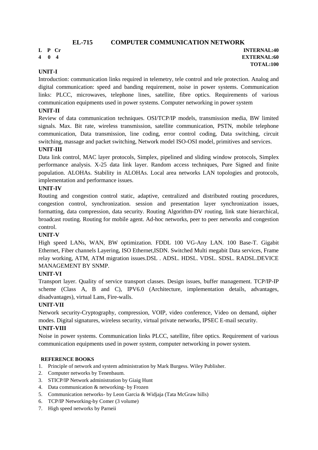**L P Cr 4 0 4**

**INTERNAL:40 EXTERNAL:60 TOTAL:100**

# **UNIT-I**

Introduction: communication links required in telemetry, tele control and tele protection. Analog and digital communication: speed and banding requirement, noise in power systems. Communication links: PLCC, microwaves, telephone lines, satellite, fibre optics. Requirements of various communication equipments used in power systems. Computer networking in power system

#### **UNIT-II**

Review of data communication techniques. OSI/TCP/IP models, transmission media, BW limited signals. Max. Bit rate, wireless transmission, satellite communication, PSTN, mobile telephone communication, Data transmission, line coding, error control coding, Data switching, circuit switching, massage and packet switching, Network model ISO-OSI model, primitives and services.

#### **UNIT-III**

Data link control, MAC layer protocols, Simplex, pipelined and sliding window protocols, Simplex performance analysis. X-25 data link layer. Random access techniques, Pure Signed and finite population. ALOHAs. Stability in ALOHAs. Local area networks LAN topologies and protocols, implementation and performance issues.

#### **UNIT-IV**

Routing and congestion control static, adaptive, centralized and distributed routing procedures, congestion control, synchronization. session and presentation layer synchronization issues, formatting, data compression, data security. Routing Algorithm-DV routing, link state hierarchical, broadcast routing. Routing for mobile agent. Ad-hoc networks, peer to peer networks and congestion control.

#### **UNIT-V**

High speed LANs, WAN, BW optimization. FDDL 100 VG-Any LAN. 100 Base-T. Gigabit Ethernet, Fiber channels Layering, ISO Ethernet,ISDN. Switched Multi megabit Data services, Frame relay working, ATM, ATM migration issues.DSL . ADSL. HDSL. VDSL. SDSL. RADSL.DEVICE MANAGEMENT BY SNMP.

#### **UNIT-VI**

Transport layer. Quality of service transport classes. Design issues, buffer management. TCP/IP-IP scheme (Class A, B and C), IPV6.0 (Architecture, implementation details, advantages, disadvantages), virtual Lans, Fire-walls.

#### **UNIT-VII**

Network security-Cryptography, compression, VOIP, video conference, Video on demand, oipher modes. Digital signatures, wireless security, virtual private networks, IPSEC E-mail security.

#### **UNIT-VIII**

Noise in power systems. Communication links PLCC, satellite, fibre optics. Requirement of various communication equipments used in power system, computer networking in power system.

#### **REFERENCE BOOKS**

- 1. Principle of network and system administration by Mark Burgess. Wiley Publisher.
- 2. Computer networks by Tenenbaum.
- 3. STICP/IP Network administration by Giaig Hunt
- 4. Data communication & networking- by Frozen
- 5. Communication networks- by Leon Garcia & Widjaja (Tata McGraw hills)
- 6. TCP/IP Networking-by Comer (3 volume)
- 7. High speed networks by Parneii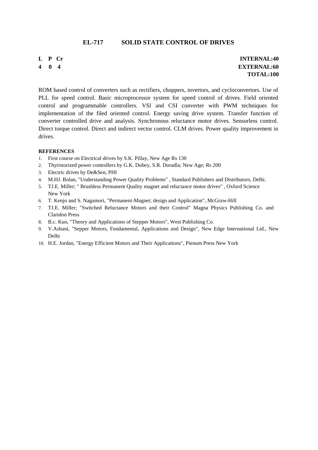#### **EL-717 SOLID STATE CONTROL OF DRIVES**

**L P Cr 4 0 4**

**INTERNAL:40 EXTERNAL:60 TOTAL:100**

ROM based control of converters such as rectifiers, choppers, invertors, and cycloconvertors. Use of PLL for speed control. Basic microprocessor system for speed control of drives. Field oriented control and programmable controllers. VSl and CSI converter with PWM techniques for implementation of the filed oriented control. Energy saving drive system. Transfer function of converter controlled drive and analysis. Synchronous reluctance motor drives. Sensorless control. Direct torque control. Direct and indirect vector control. CLM drives. Power quality improvement in drives.

#### **REFERENCES**

- 1. First course on Electrical drives by S.K. Pillay, New Age Rs 130
- 2. Thyristorized power controllers by G.K. Dubey, S.R. Doradla; New Age; Rs 200
- 3. Electric drives by De&Sen; PHI
- 4. M.HJ. Bolan, "Understanding Power Quality Problems" , Standard Publishers and Distributors, Delhi.
- 5. TJ.E. Miller; " Brushless Permanent Quality magnet and reluctance motor drives" , Oxford Science New York
- 6. T. Kenjo and S. Nagamori, "Permanent-Magnet; design and Application", McGraw-Hill
- 7. TJ.E. Miller; "Switched Reluctance Motors and their Control" Magna Physics Publishing Co. and Claridon Press
- 8. B.c. Kuo, "Theory and Applications of Stepper Motors", West Publishing Co.
- 9. V.Ashani, "Sepper Motors, Fundamental, Applications and Design", New Edge International Ltd., New Delhi
- 10. H.E. Jordan, "Energy Efficient Motors and Their Applications", Pienum Press New York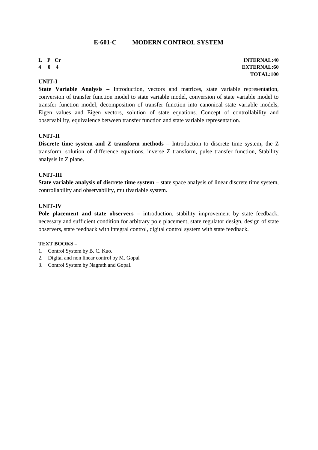# **E-601-C MODERN CONTROL SYSTEM**

**L P Cr 4 0 4**

#### **UNIT-I**

**State Variable Analysis –** Introduction, vectors and matrices, state variable representation, conversion of transfer function model to state variable model, conversion of state variable model to transfer function model, decomposition of transfer function into canonical state variable models, Eigen values and Eigen vectors, solution of state equations. Concept of controllability and observability, equivalence between transfer function and state variable representation.

#### **UNIT-II**

**Discrete time system and Z transform methods –** Introduction to discrete time system**,** the Z transform, solution of difference equations, inverse Z transform, pulse transfer function, Stability analysis in Z plane.

#### **UNIT-III**

**State variable analysis of discrete time system –** state space analysis of linear discrete time system, controllability and observability, multivariable system.

#### **UNIT-IV**

**Pole placement and state observers –** introduction, stability improvement by state feedback, necessary and sufficient condition for arbitrary pole placement, state regulator design, design of state observers, state feedback with integral control, digital control system with state feedback.

#### **TEXT BOOKS –**

- 1. Control System by B. C. Kuo.
- 2. Digital and non linear control by M. Gopal
- 3. Control System by Nagrath and Gopal.